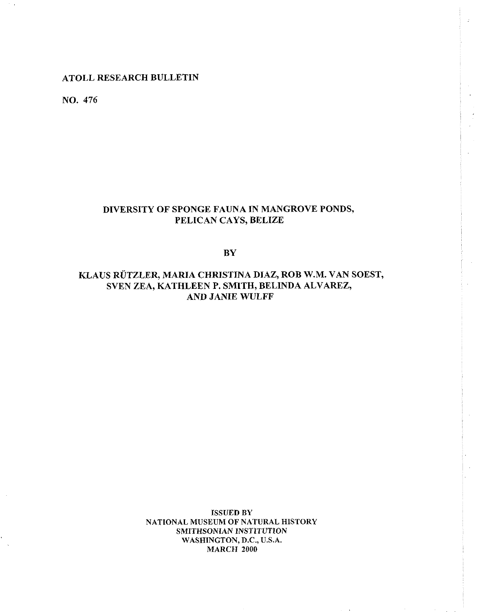# **ATOLL RESEARCH BULLETIN**

**NO. 476** 

# **DIVERSITY OF SPONGE FAUNA IN MANGROVE PONDS, PELICAN CAYS, BELIZE**

**BY** 

# KLAUS RÜTZLER, MARIA CHRISTINA DIAZ, ROB W.M. VAN SOEST, **SVEN ZEA, KATHLEEN P. SMITH, BELINDA ALVAREZ, AND JANIE WULFF**

**ISSUED BY NATIONAL MUSEUM OF NATURAL HISTORY SMITHSONIAN INSTITUTION WASHINGTON, D.C., U.S.A. MARCH ZOO0**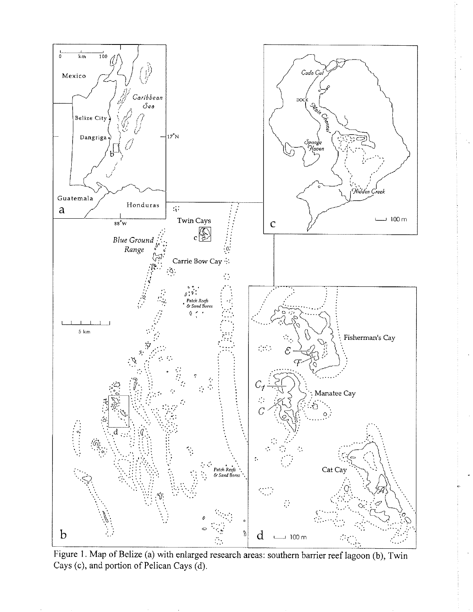

Figure 1. Map of Belize (a) with enlarged research areas: southern barrier reef lagoon (b), Twin Cays (c), and portion of Pelican Cays (d).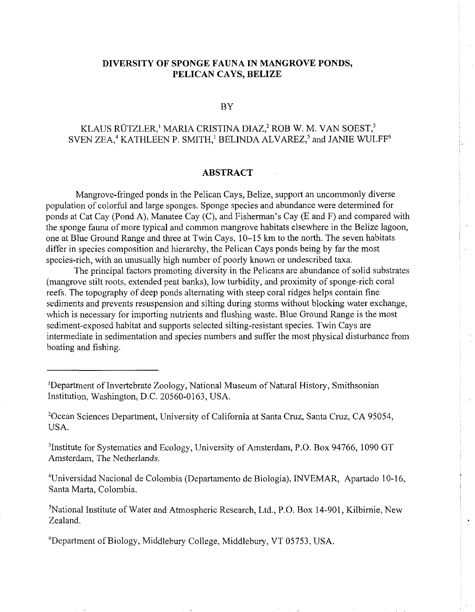# **DIVERSITY OF SPONGE FAUNA IN MANGROVE PONDS, PELICAN CAYS, BELIZE**

#### $BY$

# KLAUS RÜTZLER,<sup>1</sup> MARIA CRISTINA DIAZ,<sup>2</sup> ROB W. M. VAN SOEST,<sup>3</sup> SVEN ZEA,<sup>4</sup> KATHLEEN P. SMITH,<sup>1</sup> BELINDA ALVAREZ,<sup>5</sup> and JANIE WULFF<sup>6</sup>

## **ABSTRACT**

Mangrove-fringed ponds in the Pelican Cays, Belize, support an uncommonly diverse population of colorful and large sponges. Sponge species and abundance were determined for ponds at Cat Cay (Pond A), Manatee Cay (C), and Fisherman's Cay (E and F) and compared with the sponge fauna of more typical and common mangrove habitats elsewhere in the Belize lagoon, one at Blue Ground Range and three at Twin Cays, 10-15 km to the north. The seven habitats differ in species composition and hierarchy, the Pelican Cays ponds being by far the most species-rich, with an unusually high number of poorly known or undescribed taxa.

The principal factors promoting diversity in the Pelicans are abundance of solid substrates (mangrove stilt roots, extended peat banks), low turbidity, and proximity of sponge-rich coral reefs. The topography of deep ponds alternating with steep coral ridges helps contain fine sediments and prevents resuspension and silting during storms without blocking water exchange, which is necessary for importing nutrients and flushing waste. Blue Ground Range is the most sediment-exposed habitat and supports selected silting-resistant species. Twin Cays are intermediate in sedimentation and species numbers and suffer the most physical disturbance from boating and fishing.

<sup>3</sup>Institute for Systematics and Ecology, University of Amsterdam, P.O. Box 94766, 1090 GT Amsterdam, The Netherlands.

4Universidad Nacional de Colombia (Departamento de Biologia), INVEMAR, Apartado 10-16, Santa Marta, Colombia.

<sup>5</sup>National Institute of Water and Atmospheric Research, Ltd., P.O. Box 14-901, Kilbirnie, New Zealand.

<sup>6</sup>Department of Biology, Middlebury College, Middlebury, VT 05753, USA.

<sup>&#</sup>x27;Department of Invertebrate Zoology, National Museum of Natural History, Smithsonian Institution, Washington, D.C. 20560-0163, USA.

<sup>&</sup>lt;sup>2</sup>Ocean Sciences Department, University of California at Santa Cruz, Santa Cruz, CA 95054, USA.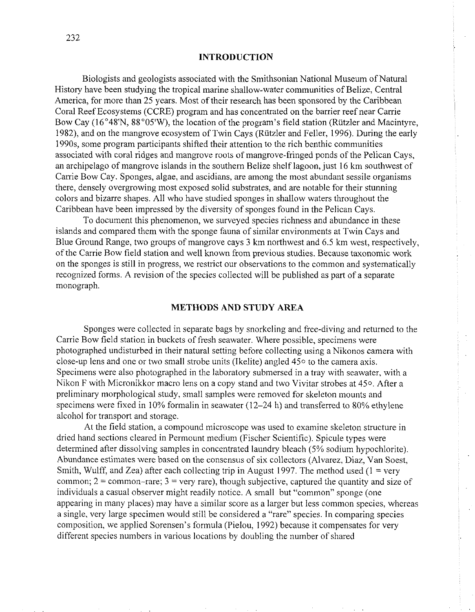### **INTRODUCTION**

Biologists and geologists associated with the Smithsonian National Museum of Natural History have been studying the tropical marine shallow-water communities of Belize, Central America, for more than 25 years. Most of their research has been sponsored by the Caribbean Coral Reef Ecosystems (CCRE) program and has concentrated on the barrier reef near Carrie Bow Cay (16°48'N, 88°05'W), the location of the program's field station (Rützler and Macintyre, 1982), and on the mangrove ecosystem of Twin Cays (Rutzler and Feller, 1996). During the early 1990s, some program participants shifted their attention to the rich benthic communities associated with coral ridges and mangrove roots of mangrove-fringed ponds of the Pelican Cays, an archipelago of mangrove islands in the southern Belize shelf lagoon, just 16 km southwest of Carrie Bow Cay. Sponges, algae, and ascidians, are among the most abundant sessile organisms there, densely overgrowing most exposed solid substrates, and are notable for their stunning colors and bizarre shapes. All who have studied sponges in shallow waters throughout the Caribbean have been impressed by the diversity of sponges found in the Pelican Cays.

To document this phenomenon, we surveyed spccies richness and abundance in these islands and compared them with the sponge fauna of similar environments at Twin Cays and Blue Ground Range, two groups of mangrove cays 3 km northwest and 6.5 km west, respectively, of the Carrie Bow field station and well known from previous studies. Because taxonomic work on the sponges is still in progress, we restrict our observations to the common and systematically recognized forms. A revision of the species collected will be published as part of a separate monograph.

### **METHODS AND STUDY AREA**

Sponges were collected in separate bags by snorkeling and free-diving and returned to the Carrie Bow field station in buckets of fresh seawater. Where possible, specimens were photographed undisturbed in their natural setting before collecting using a Nikonos camera with close-up lens and one or two small strobe units (Ikelite) angled 450 to the camera axis. Specimens were also photographed in the laboratory submersed in a tray with seawater, with a Nikon F with Micronikkor macro lens on a copy stand and two Vivitar strobes at 450. After a preliminary morphological study, small samples were removed for skeleton mounts and specimens were fixed in 10% formalin in seawater (12-24 h) and transferred to 80% ethylene alcohol for transport and storage.

At the field station, a compound microscope was used to examine skeleton structure in dried hand sections cleared in Permount medium (Fischer Scientific). Spicule types were determined after dissolving samples in concentrated laundry bleach (5% sodium hypochlorite). Abundance estimates were based on the consensus of six collectors (Alvarez, Diaz, Van Soest, Smith, Wulff, and Zea) after each collecting trip in August 1997. The method used  $(1 = \text{very }$ common;  $2 =$  common-rare;  $3 =$  very rare), though subjective, captured the quantity and size of individuals a casual observer might readily notice. A small but "common" sponge (one appearing in many places) may have a similar score as a larger but less common species, whereas a single, very large specimen would still be considered a "rare" species. In comparing species composition, we applied Sorensen's formula (Pielou, 1992) because it compensates for very different species numbers in various locations by doubling the number of shared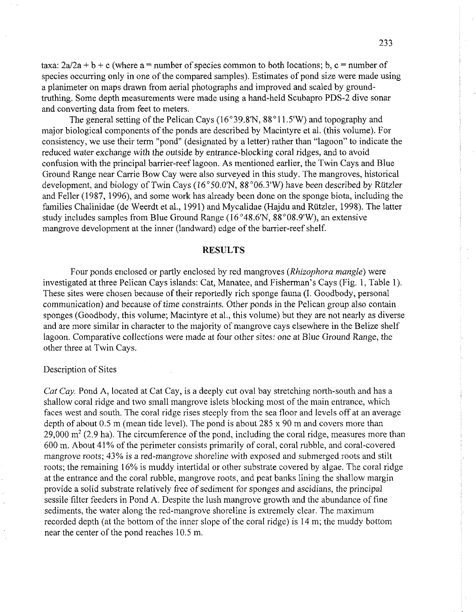taxa:  $2a/2a + b + c$  (where a = number of species common to both locations; b, c = number of species occurring only in one of the compared samples). Estimates of pond size were made using a planimeter on maps drawn from aerial photographs and improved and scaled by groundtruthing. Some depth measurements were made using a hand-held Scubapro PDS-2 dive sonar and converting data from feet to meters.

The general setting of the Pelican Cays (16°39.8'N, 88°11.5'W) and topography and major biological components of the ponds are described by Macintyre et al. (this volume). For consistency, we use their term "pond" (designated by a letter) rather than "lagoon" to indicate the reduced water exchange with the outside by entrance-blocking coral ridges, and to avoid confusion with the principal barrier-reef lagoon. As mentioned earlier, the Twin Cays and Blue Ground Range near Carrie Bow Cay were also surveyed in this study. The mangroves, historical development, and biology of Twin Cays ( $16^{\circ}50.0'N$ ,  $88^{\circ}06.3'W$ ) have been described by Rützler and Feller (1987, 1996), and some work has already been done on the sponge biota, including the families Chalinidae (de Weerdt et al., 1991) and Mycalidae (Hajdu and Riitzler, 1998). The latter study includes samples from Blue Ground Range  $(16°48.6'N, 88°08.9'W)$ , an extensive mangrove development at the inner (landward) edge of the barrier-reef shelf.

### **RESULTS**

Four ponds enclosed or partly enclosed by red mangroves (Rhizophora mangle) were investigated at three Pelican Cays islands: Cat, Manatee, and Fisherman's Cays (Fig. 1, Table 1). These sites were chosen because of their reportedly rich sponge fauna (I. Goodbody, personal communication) and because of time constraints. Other ponds in the Pelican group also contain sponges (Goodbody, this volume; Macintyre et al., this volume) but they are not nearly as diverse and are more similar in character to the majority of mangrove cays elsewhere in the Belize shelf lagoon. Comparative collections were made at four other sites: one at Blue Ground Range, the other three at Twin Cays.

#### Description of Sites

Cat Cay. Pond A, located at Cat Cay, is a deeply cut oval bay stretching north-south and has a shallow coral ridge and two small mangrove islets blocking most of the main entrance, which faces west and south. The coral ridge rises steeply from the sea floor and levels off at an average depth of about 0.5 m (mean tide level). The pond is about 285 x 90 m and covers more than  $29,000$  m<sup>2</sup> (2.9 ha). The circumference of the pond, including the coral ridge, measures more than 600 m. About 41% of the perimeter consists primarily of coral, coral rubble, and coral-covered mangrove roots; 43% is a red-mangrove shoreline with exposed and submerged roots and stilt roots; the remaining 16% is muddy intertidal or other substrate covered by algae. The coral ridge at the entrance and the coral rubble, mangrove roots, and peat banks lining the shallow margin provide a solid substrate relatively free of sediment for sponges and ascidians, the principal sessile filter feeders in Pond A. Despite the lush mangrove growth and the abundance of fine sediments, the water along the red-mangrove shoreline is extremely clear. The maximum recorded depth (at the bottom of the inner slope of the coral ridge) is 14 m; the muddy bottom near the center of the pond reaches 10.5 m.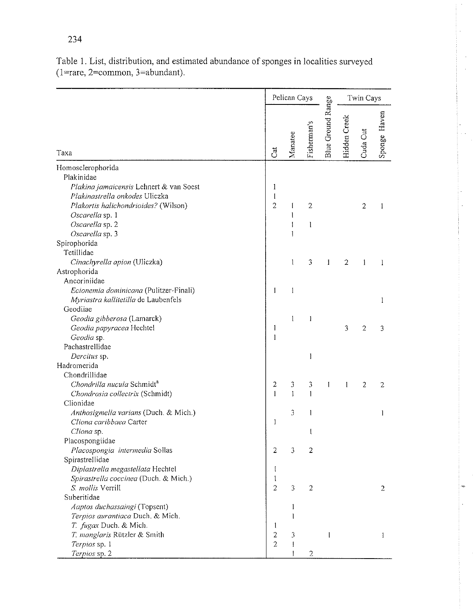|                                                                                                                                                                                          |                          | Pelican Cays   |                     |                   |              | Twin Cays |              |  |
|------------------------------------------------------------------------------------------------------------------------------------------------------------------------------------------|--------------------------|----------------|---------------------|-------------------|--------------|-----------|--------------|--|
| Taxa                                                                                                                                                                                     | Cat                      | Manatee        | Fisherman's         | Blue Ground Range | Hidden Creek | Cuda Cut  | Sponge Haven |  |
| Homosclerophorida                                                                                                                                                                        |                          |                |                     |                   |              |           |              |  |
| Plakinidae<br>Plakina jamaicensis Lehnert & van Soest<br>Plakinastrella onkodes Uliczka<br>Plakortis halichondrioides? (Wilson)<br>Oscarella sp. 1<br>Oscarella sp. 2<br>Oscarella sp. 3 | 1<br>1<br>$\overline{2}$ | I<br>I         | $\overline{2}$<br>1 |                   |              | 2         | ł            |  |
| Spirophorida                                                                                                                                                                             |                          |                |                     |                   |              |           |              |  |
| Tetillidae                                                                                                                                                                               |                          |                |                     |                   |              |           |              |  |
| Cinachyrella apion (Uliczka)<br>Astrophorida                                                                                                                                             |                          | 1              | 3                   | 1                 | 2            | I         | 1            |  |
| Ancoriniidae<br>Ecionemia dominicana (Pulitzer-Finali)<br>Myriastra kallitetilla de Laubenfels                                                                                           | 1                        | 1              |                     |                   |              |           | 1            |  |
| Geodiiae                                                                                                                                                                                 |                          |                |                     |                   |              |           |              |  |
| Geodia gibberosa (Lamarck)                                                                                                                                                               |                          | 1              | I                   |                   |              |           |              |  |
| Geodia papyracea Hechtel                                                                                                                                                                 | 1                        |                |                     |                   | 3            | 2         | 3            |  |
| Geodia sp.                                                                                                                                                                               | 1                        |                |                     |                   |              |           |              |  |
| Pachastrellidae                                                                                                                                                                          |                          |                |                     |                   |              |           |              |  |
| Dercitus sp.<br>Hadromerida                                                                                                                                                              |                          |                | 1                   |                   |              |           |              |  |
| Chondrillidae                                                                                                                                                                            |                          |                |                     |                   |              |           |              |  |
| Chondrilla nucula Schmidt <sup>a</sup>                                                                                                                                                   | 2                        | 3              | 3                   | I                 | 1            | 2         | 2            |  |
| Chondrosia collectrix (Schmidt)                                                                                                                                                          | Ŧ                        | ł              |                     |                   |              |           |              |  |
| Clionidae                                                                                                                                                                                |                          |                |                     |                   |              |           |              |  |
| Anthosigmella varians (Duch. & Mich.)                                                                                                                                                    |                          | 3              |                     |                   |              |           | 1            |  |
| Cliona caribbaea Carter                                                                                                                                                                  | 1                        |                |                     |                   |              |           |              |  |
| Cliona sp.                                                                                                                                                                               |                          |                | l                   |                   |              |           |              |  |
| Placospongiidae                                                                                                                                                                          |                          |                |                     |                   |              |           |              |  |
| Placospongia intermedia Sollas                                                                                                                                                           | 2                        | 3              | 2                   |                   |              |           |              |  |
| Spirastrellidae                                                                                                                                                                          |                          |                |                     |                   |              |           |              |  |
| Diplastrella megastellata Hechtel                                                                                                                                                        | $\mathbf I$              |                |                     |                   |              |           |              |  |
| Spirastrella coccinea (Duch. & Mich.)                                                                                                                                                    | Ŧ                        |                |                     |                   |              |           |              |  |
| S. mollis Verrill                                                                                                                                                                        | $\overline{2}$           | 3              | $\overline{2}$      |                   |              |           | 2            |  |
| Suberitidae                                                                                                                                                                              |                          |                |                     |                   |              |           |              |  |
| Aaptos duchassaingi (Topsent)                                                                                                                                                            |                          | 1              |                     |                   |              |           |              |  |
| Terpios aurantiaca Duch. & Mich.                                                                                                                                                         |                          |                |                     |                   |              |           |              |  |
| T. fugax Duch. & Mich.                                                                                                                                                                   | 1                        |                |                     |                   |              |           |              |  |
| T. manglaris Rützler & Smith                                                                                                                                                             | $\overline{2}$           | $\mathfrak{Z}$ |                     |                   |              |           | ł            |  |
| Terpios sp. 1                                                                                                                                                                            | $\overline{2}$           | 1              |                     |                   |              |           |              |  |
| Terpios sp. 2                                                                                                                                                                            |                          | 1              | 2                   |                   |              |           |              |  |

Table 1. List, distribution, and estimated abundance of sponges in localities surveyed (1=rare, 2=common, 3=abundant).

 $\hat{\mathcal{L}}$ 

 $\bar{\omega}$ 

 $\overline{\phantom{a}}$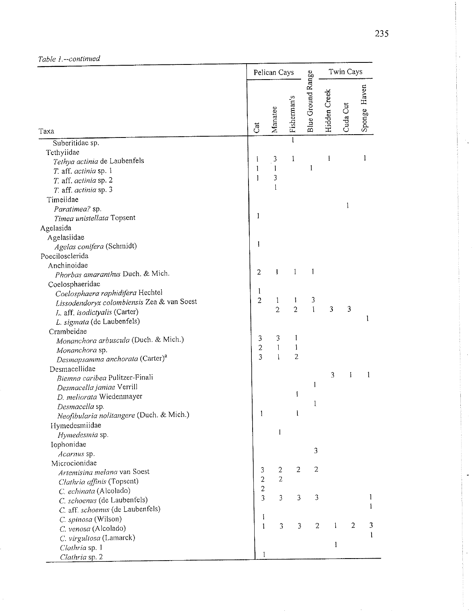|                                                            | Pelican Cays        |                     |                     |                   |              | Twin Cays      |              |  |
|------------------------------------------------------------|---------------------|---------------------|---------------------|-------------------|--------------|----------------|--------------|--|
| Taxa                                                       | $\tilde{c}$         | Manatee             | Fisherman's         | Blue Ground Range | Hidden Creek | Cuda Cut       | Sponge Haven |  |
| Suberitidae sp.                                            |                     |                     | $\mathbf{1}$        |                   |              |                |              |  |
| Tethyiidae                                                 |                     |                     |                     |                   |              |                |              |  |
| Tethya actinia de Laubenfels                               | I                   | $\mathbf{3}$        | 1                   |                   | 1            |                | 1            |  |
| T. aff. actinia sp. 1                                      | $\mathbf{1}$        | I                   |                     | 1                 |              |                |              |  |
| T. aff. actinia sp. 2                                      | $\mathbf{1}$        | 3                   |                     |                   |              |                |              |  |
| T. aff. actinia sp. 3                                      |                     | $\mathbf{1}$        |                     |                   |              |                |              |  |
| Timeiidae                                                  |                     |                     |                     |                   |              |                |              |  |
| Paratimea? sp.                                             |                     |                     |                     |                   |              | $\mathbf{1}$   |              |  |
| Timea unistellata Topsent                                  | 1                   |                     |                     |                   |              |                |              |  |
| Agelasida                                                  |                     |                     |                     |                   |              |                |              |  |
| Agelasiidae                                                |                     |                     |                     |                   |              |                |              |  |
| Agelas conifera (Schmidt)                                  | I                   |                     |                     |                   |              |                |              |  |
| Poecilosclerida                                            |                     |                     |                     |                   |              |                |              |  |
| Anchinoidae                                                |                     |                     |                     |                   |              |                |              |  |
| Phorbas amaranthus Duch. & Mich.                           | $\overline{2}$      | 1                   | 1                   | 1                 |              |                |              |  |
| Coelosphaeridae                                            |                     |                     |                     |                   |              |                |              |  |
| Coelosphaera raphidifera Hechtel                           | 1<br>$\overline{2}$ |                     |                     |                   |              |                |              |  |
| Lissodendoryx colombiensis Zea & van Soest                 |                     | 1<br>$\overline{2}$ | I<br>$\overline{2}$ | 3<br>$\mathbf{I}$ | 3            | 3              |              |  |
| L. aff. isodictyalis (Carter)                              |                     |                     |                     |                   |              |                | 1            |  |
| L. sigmata (de Laubenfels)                                 |                     |                     |                     |                   |              |                |              |  |
| Crambeidae                                                 |                     |                     | 1                   |                   |              |                |              |  |
| Monanchora arbuscula (Duch. & Mich.)                       | 3<br>$\overline{2}$ | 3<br>$\mathbf{1}$   | Ĩ                   |                   |              |                |              |  |
| Monanchora sp.                                             | $\overline{3}$      | $\mathbf{I}$        | $\overline{2}$      |                   |              |                |              |  |
| Desmapsamma anchorata (Carter) <sup>a</sup>                |                     |                     |                     |                   |              |                |              |  |
| Desmacellidae                                              |                     |                     |                     |                   | 3            | I              | 1            |  |
| Biemna caribea Pulitzer-Finali                             |                     |                     |                     | 1                 |              |                |              |  |
| Desmacella janiae Verrill                                  |                     |                     | ţ                   |                   |              |                |              |  |
| D. meliorata Wiedenmayer                                   |                     |                     |                     | 1                 |              |                |              |  |
| Desmacella sp.<br>Neofibularia nolitangere (Duch. & Mich.) | 1                   |                     | ł                   |                   |              |                |              |  |
|                                                            |                     |                     |                     |                   |              |                |              |  |
| Hymedesmiidae                                              |                     | $\mathbf{I}$        |                     |                   |              |                |              |  |
| Hymedesmia sp.                                             |                     |                     |                     |                   |              |                |              |  |
| Iophonidae<br>Acarnus sp.                                  |                     |                     |                     | 3                 |              |                |              |  |
| Microcionidae                                              |                     |                     |                     |                   |              |                |              |  |
| Artemisina melana van Soest                                | 3                   | $\boldsymbol{2}$    | $\overline{2}$      | $\overline{2}$    |              |                |              |  |
| Clathria affinis (Topsent)                                 | $\overline{2}$      | $\overline{2}$      |                     |                   |              |                |              |  |
| C. echinata (Alcolado)                                     | $\overline{c}$      |                     |                     |                   |              |                |              |  |
| C. schoenus (de Laubenfels)                                | 3                   | 3                   | 3                   | 3                 |              |                | 1            |  |
| C. aff. schoenus (de Laubenfels)                           |                     |                     |                     |                   |              |                | 1            |  |
| C. spinosa (Wilson)                                        | I                   |                     |                     |                   |              |                |              |  |
| C. venosa (Alcolado)                                       | 1                   | 3                   | 3                   | $\overline{c}$    | ł            | $\mathfrak{2}$ | 3            |  |
| C. virgultosa (Lamarck)                                    |                     |                     |                     |                   |              |                | $\mathbf{I}$ |  |
| Clathria sp. 1                                             |                     |                     |                     |                   | $\mathbf{1}$ |                |              |  |
| Clathria sp. 2                                             |                     |                     |                     |                   |              |                |              |  |

 $\ddot{\phantom{a}}$ 

 $\mathcal{F}_{\mathbf{u}}$ 

 $\ddot{\phantom{a}}$ 

÷,

 $\ddot{\phantom{a}}$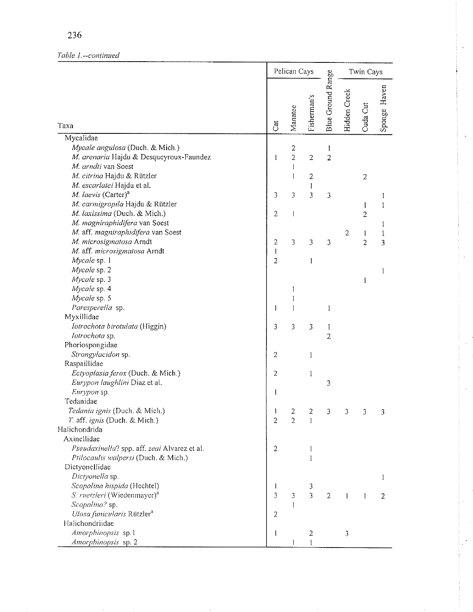# Table 1 .-- continued

 $\epsilon$ 

|                                                                                                                                                                                                                                                                                                      |                                  | Pelican Cays                                       |                                                         |                          | Twin Cays      |                                       |                |
|------------------------------------------------------------------------------------------------------------------------------------------------------------------------------------------------------------------------------------------------------------------------------------------------------|----------------------------------|----------------------------------------------------|---------------------------------------------------------|--------------------------|----------------|---------------------------------------|----------------|
| Taxa                                                                                                                                                                                                                                                                                                 | Cat                              | Manatee                                            | Fisherman <sub>s</sub>                                  | Blue Ground Range        | Hidden Creek   | Cuda Cut                              | Sponge Haven   |
| Mycalidae                                                                                                                                                                                                                                                                                            |                                  |                                                    |                                                         |                          |                |                                       |                |
| Mycale angulosa (Duch. & Mich.)<br>M. arenaria Hajdu & Desqueyroux-Faundez<br>M. arndti van Soest<br>M. citrina Hajdu & Rützler<br>M. escarlatei Hajdu et al.<br>M. laevis (Carter) <sup>a</sup><br>M. carmigropila Hajdu & Rützler<br>M. laxissima (Duch. & Mich.)<br>M. magniraphidifera van Soest | 1<br>3<br>2                      | 2<br>$\overline{c}$<br>$\mathbf{I}$<br>1<br>3<br>1 | $\overline{2}$<br>$\overline{c}$<br>1<br>$\overline{3}$ | I<br>$\overline{c}$<br>3 |                | $\overline{z}$<br>I<br>$\overline{c}$ | I<br>I<br>I    |
| M. aff. magniraphidifera van Soest                                                                                                                                                                                                                                                                   |                                  |                                                    |                                                         |                          | $\overline{2}$ | 1                                     | I              |
| M. microsigmatosa Arndt<br>M. aff. microsigmatosa Arndt<br>Mycale sp. 1                                                                                                                                                                                                                              | $\bar{z}$<br>1<br>$\overline{z}$ | 3                                                  | 3<br>1                                                  | 3                        |                | $\overline{2}$                        | 3              |
| Mycale sp. 2<br>Mycale sp. 3                                                                                                                                                                                                                                                                         |                                  |                                                    |                                                         |                          |                |                                       | 1              |
| Mycale sp. 4<br>Mycale sp. 5                                                                                                                                                                                                                                                                         |                                  | 1<br>I                                             |                                                         |                          |                | 1                                     |                |
| Paresperella sp.<br>Myxillidae                                                                                                                                                                                                                                                                       | 1                                | 1                                                  |                                                         | I                        |                |                                       |                |
| Iotrochota birotulata (Higgin)<br>Iotrochota sp.<br>Phoriospongidae                                                                                                                                                                                                                                  | 3                                | 3                                                  | 3                                                       | I<br>$\overline{z}$      |                |                                       |                |
| Strongylacidon sp.                                                                                                                                                                                                                                                                                   | $\overline{z}$                   |                                                    | 1                                                       |                          |                |                                       |                |
| Raspaillidae                                                                                                                                                                                                                                                                                         |                                  |                                                    |                                                         |                          |                |                                       |                |
| Ectyoplasia ferox (Duch. & Mich.)<br>Eurypon laughlini Diaz et al.<br>Eurypon sp.                                                                                                                                                                                                                    | $\overline{2}$<br>1              |                                                    | 1                                                       | 3                        |                |                                       |                |
| Tedanidae                                                                                                                                                                                                                                                                                            |                                  |                                                    |                                                         |                          |                |                                       |                |
| Tedania ignis (Duch. & Mich.)<br>T. aff. ignis (Duch. & Mich.)<br>Halichondrida                                                                                                                                                                                                                      | $\boldsymbol{2}$                 | フ<br>$\overline{2}$                                | 2<br>$\mathbf{1}$                                       |                          |                |                                       |                |
| Axinellidae<br>Pseudaxinella? spp. aff. zeai Alvarez et al.<br>Ptilocaulis walpersi (Duch. & Mich.)<br>Dictyonellidae                                                                                                                                                                                | $\overline{2}$                   |                                                    | 1<br>1                                                  |                          |                |                                       |                |
| Dictyonella sp.                                                                                                                                                                                                                                                                                      |                                  |                                                    |                                                         |                          |                |                                       | 1              |
| Scopalina hispida (Hechtel)<br>S. ruetzleri (Wiedenmayer) <sup>a</sup><br>Scopalina? sp.<br>Ulosa funicularis Rützler <sup>a</sup>                                                                                                                                                                   | 1<br>3<br>$\overline{c}$         | 3<br>T                                             | 3<br>3                                                  | $\mathbf 2$              |                | I                                     | $\overline{2}$ |
| Halichondriidae                                                                                                                                                                                                                                                                                      |                                  |                                                    |                                                         |                          |                |                                       |                |
| Amorphinopsis sp.1<br>Amorphinopsis sp. 2                                                                                                                                                                                                                                                            | $\mathbf{1}$                     | ĺ                                                  | $\overline{2}$<br>Ŧ                                     |                          | 3              |                                       |                |

 $\epsilon$ 

 $\overline{a}$ 

ä,

 $\cdot$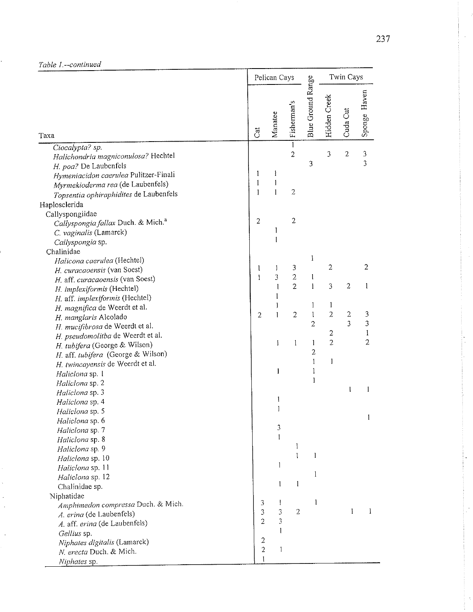|                                                                                                                                                                                                       |                        | Pelican Cays                      |                                    |                   |                | Twin Cays      |                         |  |
|-------------------------------------------------------------------------------------------------------------------------------------------------------------------------------------------------------|------------------------|-----------------------------------|------------------------------------|-------------------|----------------|----------------|-------------------------|--|
| Taxa                                                                                                                                                                                                  | <b>Jat</b>             | Manatee                           | Fisherman's                        | Blue Ground Range | Hidden Creek   | Cuda Cut       | Sponge Haven            |  |
| Ciocalypta? sp.                                                                                                                                                                                       |                        |                                   | $\mathbf{1}$                       |                   |                |                |                         |  |
| Halichondria magniconulosa? Hechtel<br>H. poa? De Laubenfels<br>Hymeniacidon caerulea Pulitzer-Finali<br>Myrmekioderma rea (de Laubenfels)<br>Topsentia ophiraphidites de Laubenfels<br>Haplosclerida | 1<br>1<br>$\mathbf{1}$ | ł<br>$\mathbf{l}$<br>$\mathbf{1}$ | $\overline{c}$<br>$\boldsymbol{2}$ | 3                 | 3              | $\overline{c}$ | $\mathfrak{Z}$<br>3     |  |
| Callyspongiidae                                                                                                                                                                                       |                        |                                   |                                    |                   |                |                |                         |  |
| Callyspongia fallax Duch. & Mich. <sup>a</sup><br>C. vaginalis (Lamarck)<br>Callyspongia sp.                                                                                                          | $\overline{2}$         | 1<br>1                            | $\overline{c}$                     |                   |                |                |                         |  |
| Chalinidae<br>Halicona caerulea (Hechtel)                                                                                                                                                             |                        |                                   |                                    | 1                 |                |                |                         |  |
| H. curacaoensis (van Soest)                                                                                                                                                                           | l                      | L                                 | 3                                  |                   | 2              |                | 2                       |  |
| H. aff. curacaoensis (van Soest)                                                                                                                                                                      | Ť                      | 3                                 | $\overline{c}$                     | $\mathbf{I}$      |                |                |                         |  |
| H. implexiformis (Hechtel)                                                                                                                                                                            |                        | 1                                 | $\overline{2}$                     | $\mathbf{1}$      | 3              | 2              | 1                       |  |
| H. aff. implexiformis (Hechtel)                                                                                                                                                                       |                        | 1                                 |                                    |                   |                |                |                         |  |
| H. magnifica de Weerdt et al.                                                                                                                                                                         |                        |                                   |                                    | 1                 | 1              |                |                         |  |
| H. manglaris Alcolado                                                                                                                                                                                 | $\overline{2}$         | 1                                 | $\overline{c}$                     | 1                 | $\overline{2}$ | 2              | 3                       |  |
| H. mucifibrosa de Weerdt et al.                                                                                                                                                                       |                        |                                   |                                    | $\overline{c}$    |                | 3              | $\overline{\mathbf{3}}$ |  |
| H. pseudomolitba de Weerdt et al.                                                                                                                                                                     |                        |                                   |                                    |                   | $\overline{z}$ |                | I                       |  |
| H. tubifera (George & Wilson)                                                                                                                                                                         |                        | J                                 | 1                                  | 1                 | $\overline{2}$ |                | $\overline{c}$          |  |
| H. aff. tubifera (George & Wilson)                                                                                                                                                                    |                        |                                   |                                    | 2                 |                |                |                         |  |
| H. twincayensis de Weerdt et al.                                                                                                                                                                      |                        |                                   |                                    | 1                 | 1              |                |                         |  |
| Haliclona sp. 1                                                                                                                                                                                       |                        | ĺ                                 |                                    | 1                 |                |                |                         |  |
| Haliclona sp. 2                                                                                                                                                                                       |                        |                                   |                                    | ì                 |                |                |                         |  |
| Haliclona sp. 3                                                                                                                                                                                       |                        |                                   |                                    |                   |                | l              | 1                       |  |
| Haliclona sp. 4                                                                                                                                                                                       |                        | ļ                                 |                                    |                   |                |                |                         |  |
| Haliclona sp. 5                                                                                                                                                                                       |                        | 1                                 |                                    |                   |                |                |                         |  |
| Haliclona sp. 6                                                                                                                                                                                       |                        |                                   |                                    |                   |                |                | 1                       |  |
| Haliclona sp. 7                                                                                                                                                                                       |                        | 3                                 |                                    |                   |                |                |                         |  |
| Haliclona sp. 8                                                                                                                                                                                       |                        | 1                                 |                                    |                   |                |                |                         |  |
| Haliclona sp. 9                                                                                                                                                                                       |                        |                                   | l                                  |                   |                |                |                         |  |
| Haliclona sp. 10                                                                                                                                                                                      |                        |                                   | $\mathbf{I}$                       | 1                 |                |                |                         |  |
| Haliclona sp. 11                                                                                                                                                                                      |                        | 1                                 |                                    | 1                 |                |                |                         |  |
| Haliclona sp. 12                                                                                                                                                                                      |                        | 1                                 | 1                                  |                   |                |                |                         |  |
| Chalinidae sp.                                                                                                                                                                                        |                        |                                   |                                    |                   |                |                |                         |  |
| Niphatidae                                                                                                                                                                                            | 3                      | $\mathbf{I}$                      |                                    | 1                 |                |                |                         |  |
| Amphimedon compressa Duch. & Mich.                                                                                                                                                                    | 3                      | 3                                 | $\overline{2}$                     |                   |                | 1              | $\mathbf{I}$            |  |
| A. erina (de Laubenfels)                                                                                                                                                                              | $\overline{2}$         | 3                                 |                                    |                   |                |                |                         |  |
| A. aff. erina (de Laubenfels)                                                                                                                                                                         |                        |                                   |                                    |                   |                |                |                         |  |
| Gellius sp.                                                                                                                                                                                           | $\overline{c}$         |                                   |                                    |                   |                |                |                         |  |
| Niphates digitalis (Lamarck)<br>N. erecta Duch. & Mich.                                                                                                                                               | $\overline{2}$         | 1                                 |                                    |                   |                |                |                         |  |
| Niphates sp.                                                                                                                                                                                          | l                      |                                   |                                    |                   |                |                |                         |  |
|                                                                                                                                                                                                       |                        |                                   |                                    |                   |                |                |                         |  |

J.

 $\ddot{\phantom{a}}$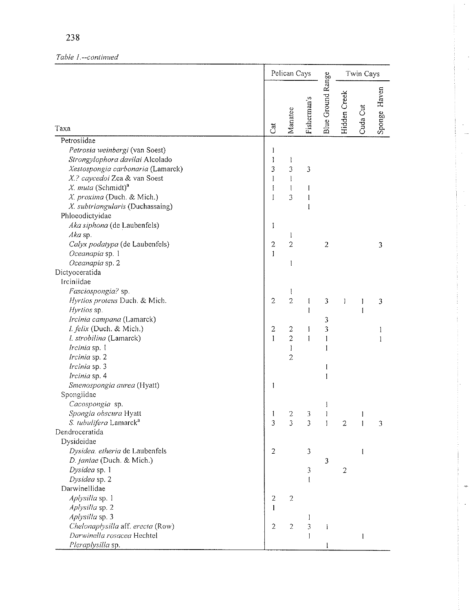# Table 1 .-- continued

|                                                                                                                                                                                                                                                               |                                                        | Pelican Cays                                |                                        |                   |                | Twin Cays    |              |  |
|---------------------------------------------------------------------------------------------------------------------------------------------------------------------------------------------------------------------------------------------------------------|--------------------------------------------------------|---------------------------------------------|----------------------------------------|-------------------|----------------|--------------|--------------|--|
| Taxa                                                                                                                                                                                                                                                          | Cat                                                    | Manatee                                     | Fisherman's                            | Blue Ground Range | Hidden Creek   | Cuda Cut     | Sponge Haven |  |
| Petrosiidae                                                                                                                                                                                                                                                   |                                                        |                                             |                                        |                   |                |              |              |  |
| Petrosia weinbergi (van Soest)<br>Strongylophora davilai Alcolado<br>Xestospongia carbonaria (Lamarck)<br>X.? caycedoi Zea & van Soest<br>X. muta (Schmidt) <sup>a</sup><br>X. proxima (Duch. & Mich.)<br>X. subtriangularis (Duchassaing)<br>Phloeodictyidae | I<br>1<br>3<br>$\pmb{\mathrm{I}}$<br>$\mathbf{l}$<br>I | ł<br>3<br>$\mathbf{l}$<br>$\mathbf{I}$<br>3 | 3<br>1<br>$\mathbf{l}$<br>$\mathbf{1}$ |                   |                |              |              |  |
| Aka siphona (de Laubenfels)                                                                                                                                                                                                                                   | I                                                      |                                             |                                        |                   |                |              |              |  |
| Aka sp.<br>Calyx podatypa (de Laubenfels)<br>Oceanapia sp. 1<br>Oceanapia sp. 2                                                                                                                                                                               | $\boldsymbol{2}$<br>$\mathbf{1}$                       | 1<br>$\overline{2}$<br>I                    |                                        | $\overline{2}$    |                |              | 3            |  |
| Dictyoceratida                                                                                                                                                                                                                                                |                                                        |                                             |                                        |                   |                |              |              |  |
| Irciniidae                                                                                                                                                                                                                                                    |                                                        |                                             |                                        |                   |                |              |              |  |
| Fasciospongia? sp.<br>Hyrtios proteus Duch. & Mich.<br>Hyrtios sp.                                                                                                                                                                                            | $\overline{2}$                                         | 1<br>$\overline{2}$                         | I                                      | 3                 | 1              | 1            | 3            |  |
| Ircinia campana (Lamarck)<br>I. felix (Duch. & Mich.)<br>I. strobilina (Lamarck)<br>Ircinia sp. 1<br>Ircinia sp. 2                                                                                                                                            | $\overline{\mathbf{c}}$<br>$\mathbf{1}$                | 2<br>$\overline{2}$<br>I<br>2               | Ĩ<br>I<br>I                            | 3<br>3<br>1<br>Į  |                | 1            | 1<br>1       |  |
| Ircinia sp. 3<br>Ircinia sp. 4                                                                                                                                                                                                                                |                                                        |                                             |                                        | I<br>I            |                |              |              |  |
| Smenospongia aurea (Hyatt)<br>Spongiidae<br>Cacospongia sp.                                                                                                                                                                                                   | 1                                                      |                                             |                                        | l                 |                |              |              |  |
| Spongia obscura Hyatt                                                                                                                                                                                                                                         | 1                                                      | $\overline{\mathbf{c}}$                     | 3                                      | I                 |                | $\mathbf{I}$ |              |  |
| S. tubulifera Lamarck <sup>a</sup>                                                                                                                                                                                                                            | 3                                                      | 3                                           | 3                                      | Ĭ                 | $\overline{2}$ | 1            | 3            |  |
| Dendroceratida                                                                                                                                                                                                                                                |                                                        |                                             |                                        |                   |                |              |              |  |
| Dysideidae<br>Dysidea. etheria de Laubenfels<br>D. janiae (Duch. & Mich.)                                                                                                                                                                                     | $\overline{2}$                                         |                                             | 3                                      | 3                 |                | 1            |              |  |
| Dysidea sp. 1<br>Dysidea sp. 2                                                                                                                                                                                                                                |                                                        |                                             | 3<br>I                                 |                   | $\overline{c}$ |              |              |  |
| Darwinellidae                                                                                                                                                                                                                                                 |                                                        |                                             |                                        |                   |                |              |              |  |
| Aplysilla sp. 1<br>Aplysilla sp. 2<br>Aplysilla sp. 3                                                                                                                                                                                                         | $\overline{2}$<br>1                                    | $\overline{2}$                              | 1                                      |                   |                |              |              |  |
| Chelonaplysilla aff. erecta (Row)<br>Darwinella rosacea Hechtel<br>Pleraplysilla sp.                                                                                                                                                                          | $\overline{2}$                                         | $\overline{2}$                              | 3<br>1                                 | I                 |                | 1            |              |  |

l.

 $\ddot{\phantom{a}}$  $\sim$ 

 $\bar{z}$ 

 $\bar{q}$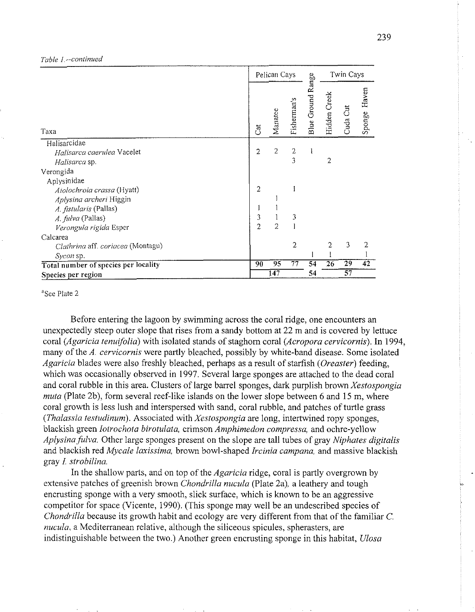#### *Table I--continued*

|                                      |     |                | Pelican Cays   |                   |                 |                | Twin Cays       |    |  |
|--------------------------------------|-----|----------------|----------------|-------------------|-----------------|----------------|-----------------|----|--|
| Taxa                                 | Cat | Manatee        | Fisherman's    | Blue Ground Range | Hidden Creek    | Cuda Cut       | Haven<br>Sponge |    |  |
| Halisarcidae                         |     |                |                |                   |                 |                |                 |    |  |
| Halisarca caerulea Vacelet           |     | $\overline{2}$ | 2              | $\mathbf{2}$      |                 |                |                 |    |  |
| Halisarca sp.                        |     |                |                | 3                 |                 | $\overline{2}$ |                 |    |  |
| Verongida                            |     |                |                |                   |                 |                |                 |    |  |
| Aplysinidae                          |     |                |                |                   |                 |                |                 |    |  |
| Aiolochroia crassa (Hyatt)           |     | $\overline{2}$ |                | 1                 |                 |                |                 |    |  |
| Aplysina archeri Higgin              |     |                |                |                   |                 |                |                 |    |  |
| A. fistularis (Pallas)               |     |                |                |                   |                 |                |                 |    |  |
| A. fulva (Pallas)                    |     | 3              |                | 3                 |                 |                |                 |    |  |
| Verongula rigida Esper               |     | $\overline{2}$ | $\overline{c}$ |                   |                 |                |                 |    |  |
| Calcarea                             |     |                |                |                   |                 |                |                 |    |  |
| Clathrina aff. coriacea (Montagu)    |     |                |                | $\overline{2}$    |                 | 2              | 3               | 2  |  |
| Sycon sp.                            |     |                |                |                   |                 |                |                 |    |  |
| Total number of species per locality |     | 90             | 95             | 77                | $\overline{54}$ | 26             | 29              | 42 |  |
| Species per region                   |     | 147            |                |                   | 54              | 57             |                 |    |  |

<sup>a</sup>See Plate 2

Before entering the lagoon by swimming across the coral ridge, one encounters an unexpectedly steep outer slope that rises from a sandy bottom at 22 m and is covered by lettuce coral *(Agaricia tenuifolia)* with isolated stands of staghorn coral *(Acropora cervicornis).* In 1994, many of the *A, cervicornis* were partly bleached, possibly by white-band disease. Some isolated *Agaricia* blades were also freshly bleached, perhaps as a result of starfish *(Oreaster)* feeding, which was occasionally observed in 1997. Several large sponges are attached to the dead coral and coral rubble in this area. Clusters of large barrel sponges, dark purplish brown *Xestospongia muta* (Plate 2b), form several reef-like islands on the lower slope between *6* and 15 m, where coral growth is less lush and interspersed with sand, coral rubble, and patches of turtle grass *(Thalassia testudinum).* Associated with *Xestospongia* are long, intertwined ropy sponges, blackish green *Iotrochofa birotulata,* crimson *Amphimedon compressa,* and ochre-yellow *Aplysina fulva.* Other large sponges present on the slope are tall tubes of gray *Niphates digitalis*  and blackish red *Mycale laxissima,* brown bowl-shaped *Irciniu campana,* and massive blackish gray *I strobilina.* 

In the shallow parts, and on top of the *Agaricia* ridge, coral is partly overgrown by extensive patches of greenish brown *Chondrilla nucula* (Plate 2a), a leathery and tough encrusting sponge with a very smooth, slick surface, which is known to be an aggressive competitor for space (Vicente, 1990). (This sponge may well be an undescribed species of *Chondrilla* because its growth habit and ecology are very different from that of the familiar C. *nucula,* a Mediterranean relative, although the siliceous spicules, spherasters, are indistinguishable between the two.) Another green encrusting sponge in this habitat, *Ulosa*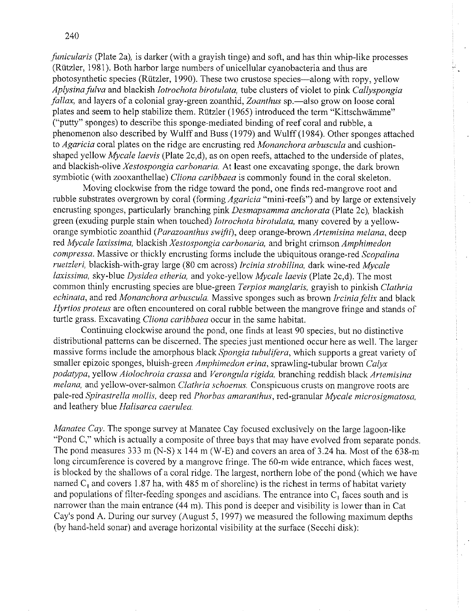*funicularis* (Plate 2a), is darker (with a grayish tinge) and soft, and has thin whip-like processes (Rutzler, 1981). Both harbor large numbers of unicellular cyanobacteria and thus are photosynthetic species (Rutzler, 1990). These two crustose species-along with ropy, yellow *Aplysinafulva* and blackish *Iotrochota birotulata,* tube clusters of violet to pink *Callyspongia fallax*, and layers of a colonial gray-green zoanthid, *Zoanthus* sp.—also grow on loose coral plates and seem to help stabilize them. Rutzler (1965) introduced the term "Kittschwamme" ("putty" sponges) to describe this sponge-mediated binding of reef coral and rubble, a phenomenon also described by Wulff and Buss (1979) and Wulff (1984). Other sponges attached to *Agaricia* coral plates on the ridge are encrusting red *Monanchora arbuscula* and cushionshaped yellow *Mycale laevis* (Plate 2c,d), as on open reefs, attached to the underside of plates, and blackish-olive *Xestospongia carbonaria.* At least one excavating sponge, the dark brown symbiotic (with zooxanthellae) *Cliona caribbaea* is commonly found in the coral skeleton.

Moving clockwise from the ridge toward the pond, one finds red-mangrove root and rubble substrates overgrown by coral (forming *Agaricia* "mini-reefs") and by large or extensively encrusting sponges, particularly branching pink *Desnmpsamma anchorata* (Plate 2c), blackish green (exuding purple stain when touched) *Iotrochota birotulata,* many covered by a yelloworange symbiotic zoanthid *(Purazoanthus swifti),* deep orange-brown *Artemisina melana,* deep red *Mycale laxissima*, blackish *Xestospongia carbonaria*, and bright crimson *Amphimedon compressa.* Massive or thickly encrusting forms include the ubiquitous orange-red *Scopalina ruetzleri,* blackish-with-gray large (80 cm across) *Ircinia slrobilina,* dark wine-red *Mycale laxissima,* sky-blue *Dysidea etheria,* and yokc-yellow *Mycale laevis* (Plate 2c,d). The most common thinly encrusting species are blue-green *Terpios manglaris*, grayish to pinkish *Clathria echinata, and red Monanchora arbuscula.* Massive sponges such as brown *Ircinia felix* and black *Hyrtios proteus* are often encountered on coral rubble between the mangrove fringe and stands of turtle grass. Excavating *Cliona carihbaea* occur in the same habitat.

Continuing clockwise around the pond, one finds at least 90 species, but no distinctive distributional patterns can be discerned. The species just mentioned occur here as well. The larger massive forms include the amorphous black *Spongia tubulifera,* which supports a great variety of smaller epizoic sponges, bluish-green *Amphimedon erina*, sprawling-tubular brown *Calyx podatypa,* yellow *Aiolochroia crassa* and *Verongula rigida,* branching reddish black *Artemisina melanu,* and yellow-over-salmon *Clathria schoenus.* Conspicuous crusts on mangrove roots are pale-red Spirastrella mollis, deep red Phorbas amaranthus, red-granular Mycale microsigmatosa, and leathery blue *Halisarca caerulea*.

*Manatee Cay*. The sponge survey at Manatee Cay focused exclusively on the large lagoon-like "Pond C," which is actually a composite of three bays that may have evolved from separate ponds. The pond measures 333 m (N-S) x 144 m (W-E) and covers an area of 3.24 ha. Most of the 638-m long circumference is covered by a mangrove fringe. The 60-m wide entrance, which faces west, is blocked by the shallows of a coral ridge. The largest, northern lobe of the pond (which we have named  $C_1$  and covers 1.87 ha, with 485 m of shoreline) is the richest in terms of habitat variety and populations of filter-feeding sponges and ascidians. The entrance into  $C<sub>1</sub>$  faces south and is narrower than the main entrance  $(44 \text{ m})$ . This pond is deeper and visibility is lower than in Cat Cay's pond A. During our survey (August 5, 1997) we measured the following maximum depths (by hand-held sonar) and average horizontal visibility at the surface (Secchi disk):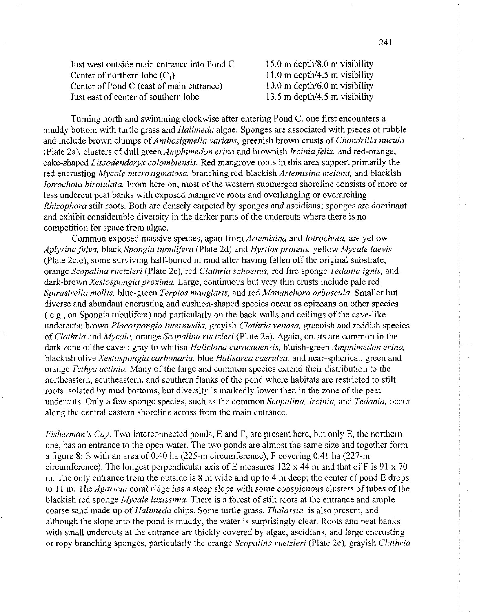Just west outside main entrance into Pond C  $15.0$  m depth/8.0 m visibility Center of northern lobe  $(C_1)$  11.0 m depth/4.5 m visibility<br>Center of Pond C (east of main entrance) 10.0 m depth/6.0 m visibility Center of Pond C (east of main entrance) Just east of center of southern lobe 13.5 m depth/4.5 m visibility

Turning north and swimming clockwise after entering Pond C, one first encounters a muddy bottom with turtle grass and *Halimeda* algae. Sponges are associated with pieces of rubble and include brown clumps of *Anthosigmella varians,* greenish brown crusts of *Chondrilla nucula*  (Plate 2a), clusters of dull green *Amphimedon erina* and brownish *Ircinia felix,* and red-orange, cake-shaped *Lissodendoryx colombiensis.* Red mangrove roots in this area support primarily the red encrusting *Mycale microsigmatosa,* branching red-blackish *Artemisina melana,* and blackish *Iotrochota birotulata.* From here on, most of the western submerged shoreline consists of more or less undercut peat banks with exposed mangrove roots and overhanging or overarching *Rhizophora* stilt roots. Both are densely carpeted by sponges and ascidians; sponges are dominant and exhibit considerable diversity in the darker parts of the undercuts where there is no competition for space from algae.

Common exposed massive species, apart from *Artemisina* and *lotrochota,* are yellow *Aplysina fulva,* black *Spongia tubu1l;fera* (Plate 2d) and *Hyrtiosproteus,* yellow *Mycale Iaevis*  (Plate 2c,d), some surviving half-buried in mud after having fallen off the original substrate, orange *Scopalina ruetzleri* (Plate 2e), red *Clathria schoenus,* red fire sponge *Tedunia ignis,* and dark-brown *Xestospongia proxima*. Large, continuous but very thin crusts include pale red *Spirastrella mollis,* blue-green *Terpios manglaris,* and red *Monanchora arbuscula.* Smaller but diverse and abundant encrusting and cushion-shaped species occur as epizoans on other species ( e.g., on Spongia tubulifera) and particularly on the back walls and ceilings of the cave-like undercuts: brown *Placospongia intermedia,* grayish *Clathria venosa,* greenish and reddish species of *Clathria* and *Mycale,* orange *Scopalina ruetzleri* (Plate 2e). Again, crusts are common in the dark zone of the caves: gray to whitish *Haliclona curacaoensis,* bluish-green *Amphimedon erina,*  blackish olive *Xestospongia carbonaria,* blue *Halisarca caerulea,* and near-spherical, green and orange *Tethya actinia.* Many of the large and common species extend their distribution to the northeastern, southeastern, and southern flanks of the pond where habitats are restricted to stilt roots isolated by mud bottoms, but diversity is markedly lower then in the zone of the peat undercuts. Only a few sponge species, such as the common *Scopalina, Ircinia,* and *Tedania,* occur along the central eastern shoreline across from the main entrance.

*Fisherman's Cay.* Two interconnected ponds, E and F, are present here, but only E, the northern one, has an entrance to the open water. The two ponds are almost the same size and together form a figure 8: E with an area of 0.40 ha (225-m circumference), F covering 0.41 ha (227-m circumference). The longest perpendicular axis of E measures 122 x 44 m and that of F is 91 x 70 m. The only entrance from the outside is 8 m wide and up to 4 m deep; the center of pond E drops to 1 1 m. The *Agaricia* coral ridge has a steep slope with some conspicuous clusters of tubes of the blackish red sponge *Mycale laxissima.* There is a forest of stilt roots at the entrance and ample coarse sand made up of *Halimeda* chips. Some turtle grass, *Thulassia,* is also present, and although the slope into the pond is muddy, the water is surprisingly clear. Roots and peat banks with small undercuts at the entrance are thickly covered by algae, ascidians, and large encrusting or ropy branching sponges, particularly the orange *Scopalina ruetzleri* (Plate 2e), grayish *Clathria* 

241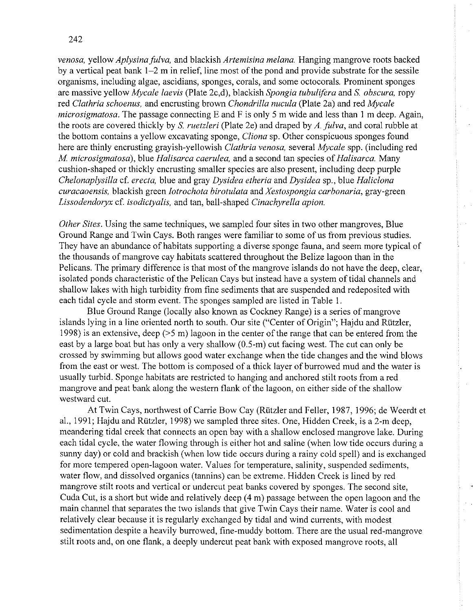*venosa,* yellow *Aplysina fulva,* and blackish *Artemisina melana.* Hanging mangrove roots backed by a vertical peat bank 1-2 m in relief, line most of the pond and provide substrate for the sessile organisms, including algae, ascidians, sponges, corals, and some octocorals. Prominent sponges are massive yellow *Mycale laevis* (Plate 2c,d), blackish *Spongia tubulifera* and *S. obscura,* ropy red *Clathria schoenus,* and encrusting brown *Chondrilla nucula* (Plate 2a) and red *Mycale microsigmatosa.* The passage connecting E and F is only 5 m wide and less than 1 m deep. Again, the roots are covered thickly by *S. ruetzleri* (Plate 2e) and draped by *A. ,fulva,* and coral rubble at the bottom contains a yellow excavating sponge, *Clionu* sp. Other conspicuous sponges found here are thinly encrusting grayish-yellowish *Clathria venosa,* several *Mycale* spp. (including red *M. microsigrnatosa),* blue *Halisarca caerulea,* and a second tan species of *Halisarca.* Many cushion-shaped or thickly encrusting smaller species are also present, including deep purple *Chelonaplysilla* cf. *erecta,* blue and gray *Dysidea etheria* and *Dysidea* sp., blue *Haliclona curacaoensis,* blackish green *Iotrochota birotulatu* and *Xestospongiu curbonaria,* gray-green *Lissodendoryx* cf. *isodictyalis,* and tan, ball-shaped *Cinachyrella apion.* 

*Other Sites.* Using the same techniques, we sampled four sites in two other mangroves, Blue Ground Range and Twin Cays. Both ranges were familiar to some of us from previous studies. They have an abundance of habitats supporting a diverse sponge fauna, and seem more typical of the thousands of mangrove cay habitats scattered throughout the Belize lagoon than in the Pelicans. The primary difference is that most of the mangrove islands do not have the deep, clear, isolated ponds characteristic of the Pelican Cays but instead have a system of tidal channels and shallow lakes with high turbidity from fine sediments that are suspended and redeposited with each tidal cycle and storm event. The sponges sampled are listed in Table 1.

Blue Ground Range (locally also known as Cockney Range) is a series of mangrove islands lying in a line oriented north to south. Our site ("Center of Origin"; Hajdu and Rutzler, 1998) is an extensive, deep (>5 m) lagoon in the center of the range that can be entered from the east by a large boat but has only a very shallow (0.5-m) cut facing west. The cut can only be crossed by swimming but allows good water exchange when the tide changes and the wind blows from the east or west. The bottom is composed of a thick layer of burrowed mud and the water is usually turbid. Sponge habitats are restricted to hanging and anchored stilt roots from a red mangrove and peat bank along the western flank of the lagoon, on either side of the shallow westward cut.

At Twin Cays, northwest of Carrie Bow Cay (Riitzler and Feller, 1987, 1996; de Weerdt et al., 1991; Hajdu and Rützler, 1998) we sampled three sites. One, Hidden Creek, is a 2-m deep, meandering tidal creek that connects an open bay with a shallow enclosed mangrove lake. During each tidal cycle, the water flowing through is either hot and saline (when low tide occurs during a sunny day) or cold and brackish (when low tide occurs during a rainy cold spell) and is exchanged for more tempered open-lagoon water. Values for temperature, salinity, suspended sediments, water flow, and dissolved organics (tannins) can be extreme. Hidden Creek is lined by red mangrove stilt roots and vertical or undercut peat banks covered by sponges. The second site, Cuda Cut, is a short but wide and relatively deep (4 m) passage between the open lagoon and the main channel that separates the two islands that give Twin Cays their name. Water is cool and relatively clear because it is regularly exchanged by tidal and wind currents, with modest sedimentation despite a heavily burrowed, fine-muddy bottom. There are the usual red-mangrove stilt roots and, on one flank, a deeply undercut peat bank with exposed mangrove roots, all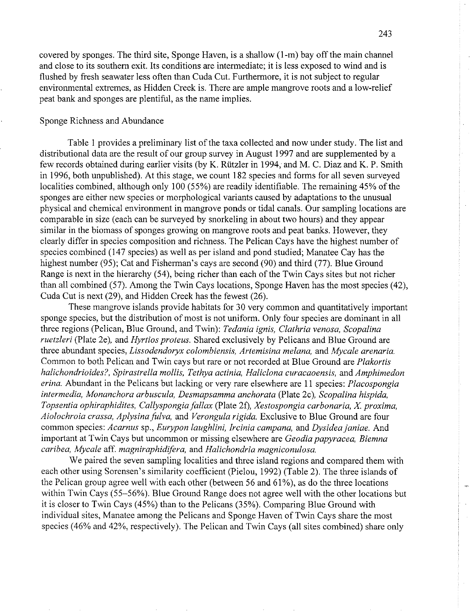covered by sponges. The third site, Sponge Haven, is a shallow (I-m) bay off the main channel and close to its southern exit. Its conditions are intermediate; it is less exposed to wind and is flushed by fresh seawater less often than Cuda Cut. Furthermore, it is not subject to regular environmental extremes, as Hidden Creek is. There are ample mangrove roots and a low-relief peat bank and sponges are plentiful, as the name implies.

### Sponge Richness and Abundance

Table 1 provides a preliminary list of the taxa collected and now under study. The list and distributional data are the result of our group survey in August 1997 and are supplemented by a few records obtained during earlier visits (by K. Riitzler in 1994; and M. C. Diaz and K. P. Smith in 1996, both unpublished). At this stage, we count 182 species and forms for all seven surveyed localities combined, although only 100 (55%) are readily identifiable. The remaining 45% of the sponges are either new species or morphological variants caused by adaptations to the unusual physical and chemical environment in mangrove ponds or tidal canals. Our sampling locations are comparable in size (each can be surveyed by snorkeling in about two hours) and they appear similar in the biomass of sponges growing on mangrove roots and peat banks. However, they clearly differ in species composition and richness. The Pelican Cays have the highest number of species combined (147 species) as well as per island and pond studied; Manatee Cay has the highest number (95); Cat and Fisherman's cays are second (90) and third (77). Blue Ground Range is next in the hierarchy (54), being richer than each of the Twin Cays sites but not richer than all combined (57). Among the Twin Cays locations, Sponge Haven has the most species (42), Cuda Cut is next (29), and Hidden Creek has the fewest (26).

These mangrove islands provide habitats for 30 very common and quantitatively important sponge species, but the distribution of most is not uniform. Only four species are dominant in all three regions (Pelican, Blue Ground, and Twin): *Tedania ignis, Clathria venosa, Scopalina ruetzleri* (Plate 2e), and *Hyrtios proteus*. Shared exclusively by Pelicans and Blue Ground are three abundant species, *Lissodendoryx colombiensis, Artemisina melana,* and *Mycale arenaria.*  Common to both Pelican and Twin cays but rare or not recorded at Blue Ground are *Plakortis halichondrioides?, Spirastrella mollis, Tethya actinia, Haliclona curacaoensis, and Amphimedon erina.* Abundant in the Pelicans but lacking or very rare elsewhere are 11 species: *Placospongia intermedia, Monunchora arbuscula, Desmapsamma anchorata* (Plate 2c), *Scopalina hispida, Topsentia ophiraphidites, Callyspongia fallax* (Plate 20, *Xestospongia carbonaria,* X *proxima, Aiolochroia crassa, Aplysinafulva,* and *Verongula rigida.* Exclusive to Blue Ground are four common species: *Acarnus* sp., *Eurypon laughlini, Ircinia campana*, and *Dysidea janiae.* And important at Twin Cays but uncommon or missing elsewhere are *Geodiapapyracea, Biemna caribea, Mycale aff. magniraphidifera, and Halichondria magniconulosa.* 

We paired the seven sampling localities and three island regions and compared them with each other using Sorensen's similarity coefficient (Pielou, 1992) (Table 2). The three islands of the Pelican group agree well with each other (between 56 and  $61\%$ ), as do the three locations within Twin Cays (55-56%). Blue Ground Range does not agree well with the other locations but it is closer to Twin Cays (45%) than to the Pelicans (35%). Comparing Blue Ground with individual sites, Manatee among the Pelicans and Sponge Haven of Twin Cays share the most species (46% and 42%, respectively). The Pelican and Twin Cays (all sites combined) share only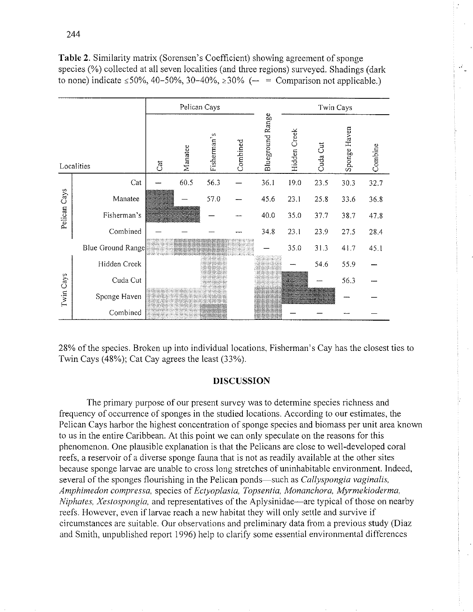**Table** 2. Similarity matrix (Sorensen's Coefficient) showing agreement of sponge species (%) collected at all seven localities (and three regions) surveyed. Shadings (dark to none) indicate  $\leq 50\%$ , 40-50%, 30-40%,  $\geq 30\%$  (- = Comparison not applicable.)



28% of the species. Broken up into individual locations, Fisherman's Cay has the closest ties to Twin Cays (48%); Cat Cay agrees the least (33%).

## **DISCUSSION**

The primary purpose of our present survey was to determine species richness and frequency of occurrence of sponges in the studied locations. According to our estimates, the Pelican Cays harbor the highest concentration of sponge species and biomass per unit area known to us in the entire Caribbean. At this point we can only speculate on the reasons for this phenomenon. One plausible explanation is that the Pelicans are close to well-developed coral reefs, a reservoir of a diverse sponge fauna that is not as readily available at the other sites because sponge larvae are unable to cross long stretches of uninhabitable environment. Indeed, several of the sponges flourishing in the Pelican ponds-such as *Callyspongiu vaginalis, Amphimedon compressa, species of Ectyoplasia, Topsentia, Monanchora, Myrmekioderma, Niphates, Xestospongia, and representatives of the Aplysinidae—are typical of those on nearby* reefs. However, even if larvae reach a new habitat they will only settle and survive if circumstances are suitable. Our observations and preliminary data from a previous study (Diaz and Smith, unpublished report 1996) help to clarify some essential environmental differences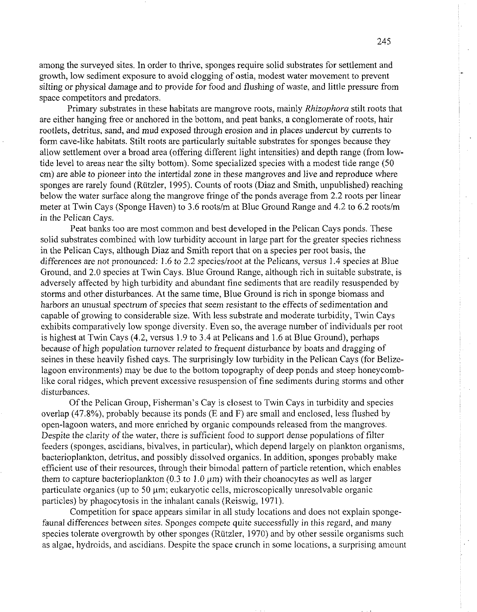among the surveyed sites. In order to thrive, sponges require solid substrates for settlement and growth, low sediment exposure to avoid clogging of ostia, modest water movement to prevent silting or physical damage and to provide for food and flushing of waste, and little pressure from space competitors and predators.

Primary substrates in these habitats are mangrove roots, mainly *Rhizophoru* stilt roots that are either hanging free or anchored in the bottom, and peat banks, a conglomerate of roots, hair rootlets, detritus, sand, and mud exposed through erosion and in places undercut by currents to form cave-like habitats. Stilt roots are particularly suitable substrates for sponges because they allow settlement over a broad area (offering different light intensities) and depth range (from lowtide level to areas near the silty bottom). Some specialized species with a modest tide range (50 cm) are able to pioneer into the intertidal zone in these mangroves and live and reproduce where sponges are rarely found (Riitzler, 1995). Counts of roots (Diaz and Smith, unpublished) reaching below the water surface along the mangrove fringe of the ponds average from 2.2 roots per linear meter at Twin Cays (Sponge Haven) to 3.6 roots/m at Blue Ground Range and 4.2 to 6.2 roots/m in the Pelican Cays.

Peat banks too are most common and best developed in the Pelican Cays ponds. These solid substrates combined with low turbidity account in large part for the greater species richness in the Pelican Cays, although Diaz and Smith report that on a species per root basis, the differences are not pronounced: 1.6 to 2.2 species/root at the Pelicans, versus 1.4 species at Blue Ground, and 2.0 species at Twin Cays. Blue Ground Range, although rich in suitable substrate, is adversely affected by high turbidity and abundant fine sediments that are readily resuspended by storms and other disturbances. At the same time, Blue Ground is rich in sponge biomass and harbors an unusual spectrum of species that seem resistant to the effects of sedimentation and capable of growing to considerable size. With less substrate and moderate turbidity, Twin Cays exhibits comparatively low sponge diversity. Even so, the average number of individuals per root is highest at Twin Cays (4.2, versus 1.9 to 3.4 at Pelicans and 1.6 at Blue Ground), perhaps because of high population turnover related to frequent disturbance by boats and dragging of seines in these heavily fished cays. The surprisingly low turbidity in the Pelican Cays (for Belizelagoon environments) may be due to the bottom topography of deep ponds and steep honeycomblike coral ridges, which prevent excessive resuspension of fine sediments during storms and other disturbances.

Of the Pelican Group, Fisherman's Cay is closest to Twin Cays in turbidity and species overlap  $(47.8\%)$ , probably because its ponds  $(E \text{ and } F)$  are small and enclosed, less flushed by open-lagoon waters, and more enriched by organic compounds released from the mangroves. Despite the clarity of the water, there is sufficient food to support dense populations of filter feeders (sponges, ascidians, bivalves, in particular), which depend largely on plankton organisms, bacterioplankton, detritus, and possibly dissolved organics. In addition, sponges probably make efficient use of their resources, through their bimodal pattern of particle retention, which enables them to capture bacterioplankton (0.3 to 1.0  $\mu$ m) with their choanocytes as well as larger particulate organics (up to 50 µm; eukaryotic cells, microscopically unresolvable organic particles) by phagocytosis in the inhalant canals (Reiswig, 1971).

Competition for space appears similar in all study locations and does not explain spongefaunal differences between sites. Sponges compete quite successfully in this regard, and many species tolerate overgrowth by other sponges (Riitzler, 1970) and by other sessile organisms such as algae, hydroids, and ascidians. Despite the space crunch in some locations, a surprising amount

 $245$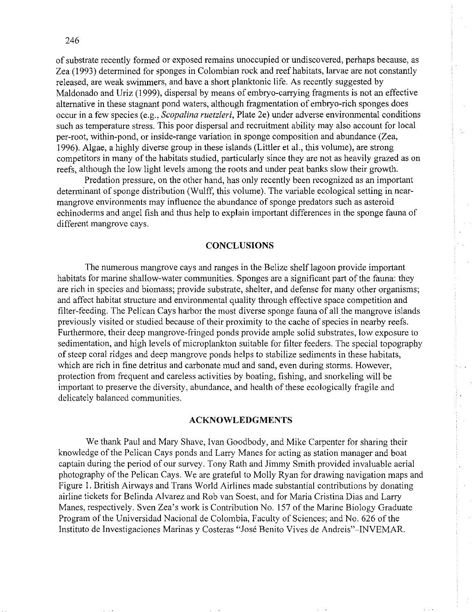246

of substrate recently formed or exposed remains unoccupied or undiscovered, perhaps because, as Zea (1993) determined for sponges in Colombian rock and reef habitats, larvae are not constantly released, are weak swimmers, and have a short planktonic life. As recently suggested by Maldonado and Uriz (1999), dispersal by means of embryo-canying fragments is not an effective alternative in these stagnant pond waters, although fragmentation of embryo-rich sponges does occur in a few species (e.g.? *Scopalina ruetzleri,* Plate 2e) under adverse environmental conditions such as temperature stress. This poor dispersal and recruitment ability may also account for local per-root, within-pond, or inside-range variation in sponge composition and abundance (Zea, 1996). Algae, a highly diverse group in these islands (Littler et al., this volume), are strong competitors in many of the habitats studied, particularly since they are not as heavily grazed as on reefs, although the low light levels among the roots and under peat banks slow their growth.

Predation pressure, on the other hand, has only recently been recognized as an important determinant of sponge distribution (Wulff, this volume). The variable ecological setting in nearmangrove environments may influence the abundance of sponge predators such as asteroid echinoderms and angel fish and thus help to explain important differences in the sponge fauna of different mangrove cays.

## **CONCLUSIONS**

The numerous mangrove cays and ranges in the Belize shelf lagoon provide important habitats for marine shallow-water communities. Sponges are a significant part of the fauna: they are rich in species and biomass; provide substrate, shelter, and defense for many other organisms; and affect habitat structure and environmental quality through effective space competition and filter-feeding. The Pelican Cays harbor the most diverse sponge fauna of all the mangrove islands previously visited or studied because of their proximity to the cache of species in nearby reefs. Furthermore, their deep mangrove-fringed ponds provide ample solid substrates, low exposure to sedimentation, and high levels of microplankton suitable for filter feeders. The special topography of steep coral ridges and deep mangrove ponds helps to stabilize sediments in these habitats, which are rich in fine detritus and carbonate mud and sand, even during storms. However, protection from frequent and careless activities by boating, fishing, and snorkeling will be important to preserve the diversity, abundance, and health of these ecologically fragile and delicately balanced communities.

## **ACKNOWLEDGMENTS**

We thank Paul and Mary Shave, Ivan Goodbody, and Mike Carpenter for sharing their knowledge of the Pelican Cays ponds and Larry Manes for acting as station manager and boat captain during the period of our survey. Tony Rath and Jimmy Smith provided invaluable aerial photography of the Pelican Cays. We are grateful to Molly Ryan for drawing navigation maps and Figure 1. British Airways and Trans World Airlines made substantial contributions by donating airline tickets for Belinda Alvarez and Rob van Soest, and for Maria Cristina Dias and Lany Manes, respectively. Sven Zea's work is Contribution No. 157 of the Marine Biology Graduate Program of the Universidad Nacional de Colombia, Faculty of Sciences; and No. *626* of the Instituto de Investigaciones Marinas y Costeras "José Benito Vives de Andreis"-INVEMAR.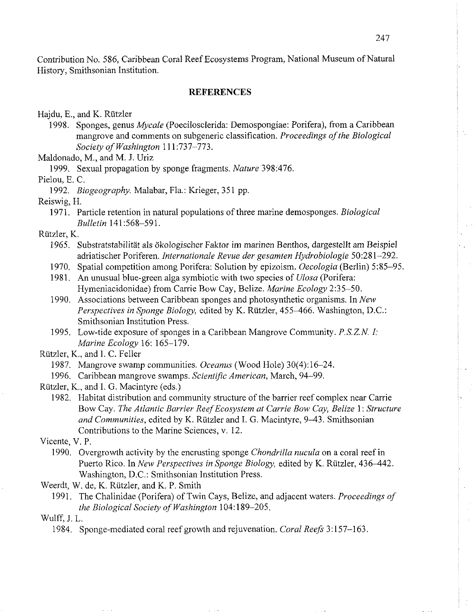Contribution No. 586, Caribbean Coral Reef Ecosystems Program, National Museum of Natural History, Smithsonian Institution.

### **REFERENCES**

Hajdu, E., and K. Rützler

1998. Sponges, genus *Mycale* (Poecilosclerida: Demospongiae: Porifera), from a Caribbean mangrove and comments on subgeneric classification. *Proceedings ofthe Biological Society of Washington* 111:737-773.

Maldonado, M., and M. J. Uriz

1999. Sexual propagation by sponge fragments. *Nature* 398:476.

Pielou, *E.* C.

1992. *Biogeography*. Malabar, Fla.: Krieger, 351 pp.

Reiswig, H.

1971. Particle retention in natural populations of three marine demosponges. *Biological Bulletin* 141:568-591.

Rutzler, K.

- 1965. Substratstabilitat als okologischer Faktor im marinen Benthos, dargestellt am Beispiel adriatischer Poriferen. *Internationale Revue der gesamten Hydrobiologie* 50:281-292.
- 1970. Spatial competition among Porifera: Solution by epizoism. *Oecologia* (Berlin) 5:85-95.
- 1981. An unusual blue-green alga symbiotic with two species of *Ulosa* (Porifera: Hymeniacidonidae) from Carrie Bow Cay, Belize. *Marine Ecology* 2:35-50.
- 1990. Associations between Caribbean sponges and photosynthetic organisms. In *New Perspectives in Sponge Biology, edited by K. Rützler, 455-466. Washington, D.C.:* Smithsonian Institution Press.
- 1995. Low-tide exposure of sponges in a Caribbean Mangrove Community. *P.S.Z.N. I: Marine Ecology* 16: 165-179.
- Rutzler, K., and I. C. Feller

1987. Mangrove swamp communities. *Oceanus* (Wood Hole) 3O(4): 16-24,

- 1996. Caribbean mangrove swamps. *Scientific American,* March, 94-99.
- Rützler, K., and I. G. Macintyre (eds.)
	- 1982. Habitat distribution and community structure of the barrier reef complex near Carrie Bow Cay. The Atlantic Barrier Reef Ecosystem at Carrie Bow Cay, Belize 1: Structure and Communities, edited by *K*. Rützler and I. G. Macintyre, 9-43. Smithsonian Contributions to the Marine Sciences, v. 12.

Vicente, V. P.

- 1990. Overgrowth activity by the encrusting sponge *Chondrilla nucula* on a coral reef in Puerto Rico. In *New Perspectives in Sponge Biology*, edited by K. Rützler, 436–442. Washington, D.C.: Smithsonian Institution Press.
- Weerdt, W. de, K. Rützler, and K. P. Smith
	- 1991. The Chalinidae (Porifera) of Twin Cays, Belize, and adjacent waters. *Proceedings of the Biological Society of Washingion* 104: 189-205.

Wulff, J. L.

<sup>1984.</sup> Sponge-mediated coral reef growth and rejuvenation. *Coral Reefs* 3: 157-163.